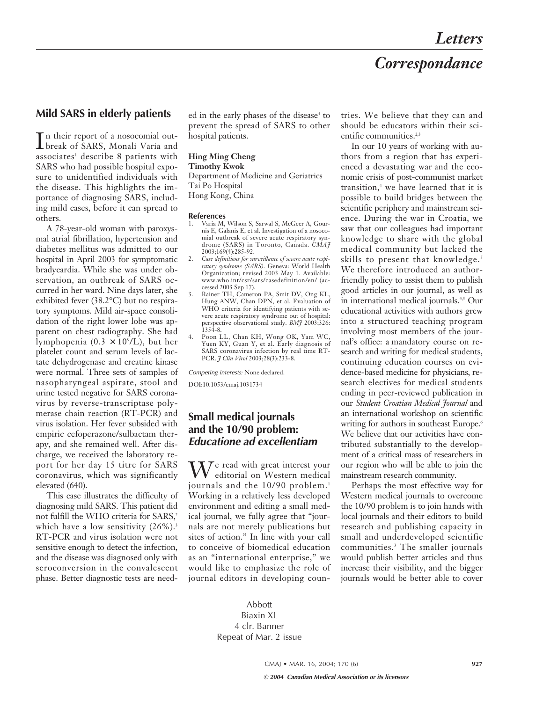# *Correspondance*

# **Mild SARS in elderly patients**

In their report of a nosocomial out-<br>break of SARS, Monali Varia and break of SARS, Monali Varia and associates<sup>1</sup> describe 8 patients with SARS who had possible hospital exposure to unidentified individuals with the disease. This highlights the importance of diagnosing SARS, including mild cases, before it can spread to others.

A 78-year-old woman with paroxysmal atrial fibrillation, hypertension and diabetes mellitus was admitted to our hospital in April 2003 for symptomatic bradycardia. While she was under observation, an outbreak of SARS occurred in her ward. Nine days later, she exhibited fever (38.2°C) but no respiratory symptoms. Mild air-space consolidation of the right lower lobe was apparent on chest radiography. She had lymphopenia (0.3 × 109 /L), but her platelet count and serum levels of lactate dehydrogenase and creatine kinase were normal. Three sets of samples of nasopharyngeal aspirate, stool and urine tested negative for SARS coronavirus by reverse-transcriptase polymerase chain reaction (RT-PCR) and virus isolation. Her fever subsided with empiric cefoperazone/sulbactam therapy, and she remained well. After discharge, we received the laboratory report for her day 15 titre for SARS coronavirus, which was significantly elevated (640).

This case illustrates the difficulty of diagnosing mild SARS. This patient did not fulfill the WHO criteria for SARS,<sup>2</sup> which have a low sensitivity  $(26\%)$ .<sup>3</sup> RT-PCR and virus isolation were not sensitive enough to detect the infection, and the disease was diagnosed only with seroconversion in the convalescent phase. Better diagnostic tests are needed in the early phases of the disease<sup>4</sup> to prevent the spread of SARS to other hospital patients.

### **Hing Ming Cheng**

# **Timothy Kwok**

Department of Medicine and Geriatrics Tai Po Hospital Hong Kong, China

#### **References**

- 1. Varia M, Wilson S, Sarwal S, McGeer A, Gournis E, Galanis E, et al. Investigation of a nosocomial outbreak of severe acute respiratory syndrome (SARS) in Toronto, Canada. *CMAJ* 2003;169(4):285-92.
- 2. *Case definitions for surveillance of severe acute respiratory syndrome (SARS)*. Geneva: World Health Organization; revised 2003 May 1. Available: www.who.int/csr/sars/casedefinition/en/ (accessed 2003 Sep 17).
- 3. Rainer TH, Cameron PA, Smit DV, Ong KL, Hung ANW, Chan DPN, et al. Evaluation of WHO criteria for identifying patients with severe acute respiratory syndrome out of hospital: perspective observational study. *BMJ* 2003;326: 1354-8.
- 4. Poon LL, Chan KH, Wong OK, Yam WC, Yuen KY, Guan Y, et al. Early diagnosis of SARS coronavirus infection by real time RT-PCR. *J Clin Virol* 2003;28(3):233-8.

Competing interests*:* None declared.

DOI:10.1053/cmaj.1031734

# **Small medical journals and the 10/90 problem: Educatione ad excellentiam**

 $\mathbf{M}$ <sup>e</sup> read with great interest your editorial on Western medical journals and the 10/90 problem.<sup>1</sup> Working in a relatively less developed environment and editing a small medical journal, we fully agree that "journals are not merely publications but sites of action." In line with your call to conceive of biomedical education as an "international enterprise," we would like to emphasize the role of journal editors in developing countries. We believe that they can and should be educators within their scientific communities.<sup>2,3</sup>

In our 10 years of working with authors from a region that has experienced a devastating war and the economic crisis of post-communist market transition,<sup>4</sup> we have learned that it is possible to build bridges between the scientific periphery and mainstream science. During the war in Croatia, we saw that our colleagues had important knowledge to share with the global medical community but lacked the skills to present that knowledge.<sup>5</sup> We therefore introduced an authorfriendly policy to assist them to publish good articles in our journal, as well as in international medical journals.4,5 Our educational activities with authors grew into a structured teaching program involving most members of the journal's office: a mandatory course on research and writing for medical students, continuing education courses on evidence-based medicine for physicians, research electives for medical students ending in peer-reviewed publication in our *Student Croatian Medical Journal* and an international workshop on scientific writing for authors in southeast Europe.<sup>6</sup> We believe that our activities have contributed substantially to the development of a critical mass of researchers in our region who will be able to join the mainstream research community.

Perhaps the most effective way for Western medical journals to overcome the 10/90 problem is to join hands with local journals and their editors to build research and publishing capacity in small and underdeveloped scientific communities.3 The smaller journals would publish better articles and thus increase their visibility, and the bigger journals would be better able to cover

## Abbott Biaxin XL 4 clr. Banner Repeat of Mar. 2 issue